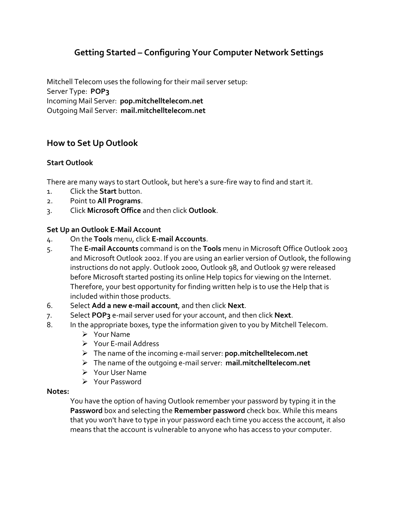# **Getting Started – Configuring Your Computer Network Settings**

Mitchell Telecom uses the following for their mail server setup: Server Type: **POP3** Incoming Mail Server: **pop.mitchelltelecom.net** Outgoing Mail Server: **mail.mitchelltelecom.net**

## **How to Set Up Outlook**

### **Start Outlook**

There are many ways to start Outlook, but here's a sure-fire way to find and start it.

- 1. Click the **Start** button.
- 2. Point to **All Programs**.
- 3. Click **Microsoft Office** and then click **Outlook**.

### **Set Up an Outlook E-Mail Account**

- 4. On the **Tools** menu, click **E-mail Accounts**.
- 5. The **E-mail Accounts** command is on the **Tools** menu in Microsoft Office Outlook 2003 and Microsoft Outlook 2002. If you are using an earlier version of Outlook, the following instructions do not apply. Outlook 2000, Outlook 98, and Outlook 97 were released before Microsoft started posting its online Help topics for viewing on the Internet. Therefore, your best opportunity for finding written help is to use the Help that is included within those products.
- 6. Select **Add a new e-mail account**, and then click **Next**.
- 7. Select **POP3** e-mail server used for your account, and then click **Next**.
- 8. In the appropriate boxes, type the information given to you by Mitchell Telecom.
	- $\triangleright$  Your Name
	- Your E-mail Address
	- The name of the incoming e-mail server: **pop.mitchelltelecom.net**
	- The name of the outgoing e-mail server: **mail.mitchelltelecom.net**
	- Your User Name
	- Your Password

#### **Notes:**

You have the option of having Outlook remember your password by typing it in the **Password** box and selecting the **Remember password** check box. While this means that you won't have to type in your password each time you access the account, it also means that the account is vulnerable to anyone who has access to your computer.